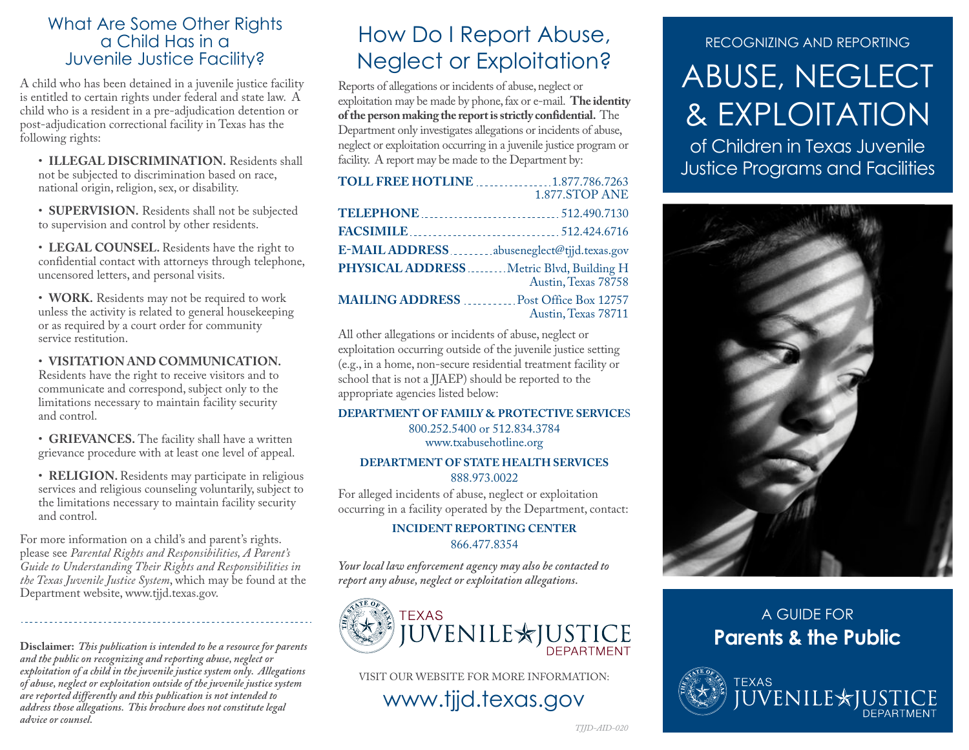### What Are Some Other Rights a Child Has in a Juvenile Justice Facility?

A child who has been detained in a juvenile justice facility is entitled to certain rights under federal and state law. A child who is a resident in a pre-adjudication detention or post-adjudication correctional facility in Texas has the following rights:

• **ILLEGAL DISCRIMINATION.** Residents shall not be subjected to discrimination based on race, national origin, religion, sex, or disability.

• **SUPERVISION.** Residents shall not be subjected to supervision and control by other residents.

• **LEGAL COUNSEL.** Residents have the right to confidential contact with attorneys through telephone, uncensored letters, and personal visits.

• **WORK.** Residents may not be required to work unless the activity is related to general housekeeping or as required by a court order for community service restitution.

#### • **VISITATION AND COMMUNICATION.**

Residents have the right to receive visitors and to communicate and correspond, subject only to the limitations necessary to maintain facility security and control.

• **GRIEVANCES.** The facility shall have a written grievance procedure with at least one level of appeal.

• **RELIGION.** Residents may participate in religious services and religious counseling voluntarily, subject to the limitations necessary to maintain facility security and control.

For more information on a child's and parent's rights. please see *Parental Rights and Responsibilities, A Parent's Guide to Understanding Their Rights and Responsibilities in the Texas Juvenile Justice System*, which may be found at the Department website, www.tjjd.texas.gov.

**Disclaimer:** *This publication is intended to be a resource for parents and the public on recognizing and reporting abuse, neglect or exploitation of a child in the juvenile justice system only. Allegations of abuse, neglect or exploitation outside of the juvenile justice system are reported differently and this publication is not intended to address those allegations. This brochure does not constitute legal advice or counsel.*

# How Do I Report Abuse, Neglect or Exploitation?

Reports of allegations or incidents of abuse, neglect or exploitation may be made by phone, fax or e-mail. **The identity of the person making the report is strictly confidential.** The Department only investigates allegations or incidents of abuse, neglect or exploitation occurring in a juvenile justice program or facility. A report may be made to the Department by:

| <b>TOLL FREE HOTLINE</b> 1.877.786.7263                          |                     |
|------------------------------------------------------------------|---------------------|
|                                                                  | 1.877.STOP ANE      |
|                                                                  |                     |
|                                                                  |                     |
| E-MAIL ADDRESSabuseneglect@tjjd.texas.gov                        |                     |
| PHYSICAL ADDRESS  Metric Blvd, Building H<br>Austin, Texas 78758 |                     |
| <b>MAILING ADDRESS</b> Post Office Box 12757                     | Austin, Texas 78711 |

All other allegations or incidents of abuse, neglect or exploitation occurring outside of the juvenile justice setting (e.g., in a home, non-secure residential treatment facility or school that is not a JJAEP) should be reported to the appropriate agencies listed below:

#### **DEPARTMENT OF FAMILY & PROTECTIVE SERVICE**S 800.252.5400 or 512.834.3784

www.txabusehotline.org

#### **DEPARTMENT OF STATE HEALTH SERVICES** 888.973.0022

For alleged incidents of abuse, neglect or exploitation occurring in a facility operated by the Department, contact:

#### **INCIDENT REPORTING CENTER** 866.477.8354

*Your local law enforcement agency may also be contacted to report any abuse, neglect or exploitation allegations.*



VISIT OUR WEBSITE FOR MORE INFORMATION:

www.tjjd.texas.gov

### RECOGNIZING AND REPORTING

# ABUSE, NEGLECT & EXPLOITATION

of Children in Texas Juvenile Justice Programs and Facilities



# A GUIDE FOR **Parents & the Public**